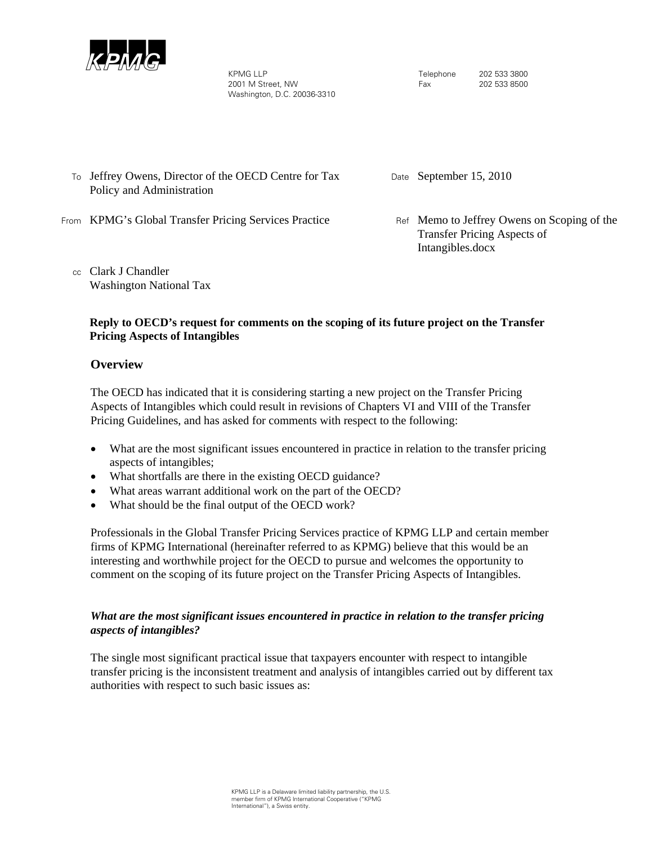

KPMG LLP 2001 M Street, NW Washington, D.C. 20036-3310

Telephone 202 533 3800 Fax 202 533 8500

To Jeffrey Owens, Director of the OECD Centre for Tax Policy and Administration

Date September 15, 2010

- From KPMG's Global Transfer Pricing Services Practice Ref Memo to Jeffrey Owens on Scoping of the
	- cc Clark J Chandler Washington National Tax

Transfer Pricing Aspects of Intangibles.docx

## **Reply to OECD's request for comments on the scoping of its future project on the Transfer Pricing Aspects of Intangibles**

# **Overview**

The OECD has indicated that it is considering starting a new project on the Transfer Pricing Aspects of Intangibles which could result in revisions of Chapters VI and VIII of the Transfer Pricing Guidelines, and has asked for comments with respect to the following:

- What are the most significant issues encountered in practice in relation to the transfer pricing aspects of intangibles;
- What shortfalls are there in the existing OECD guidance?
- What areas warrant additional work on the part of the OECD?
- What should be the final output of the OECD work?

Professionals in the Global Transfer Pricing Services practice of KPMG LLP and certain member firms of KPMG International (hereinafter referred to as KPMG) believe that this would be an interesting and worthwhile project for the OECD to pursue and welcomes the opportunity to comment on the scoping of its future project on the Transfer Pricing Aspects of Intangibles.

## *What are the most significant issues encountered in practice in relation to the transfer pricing aspects of intangibles?*

The single most significant practical issue that taxpayers encounter with respect to intangible transfer pricing is the inconsistent treatment and analysis of intangibles carried out by different tax authorities with respect to such basic issues as: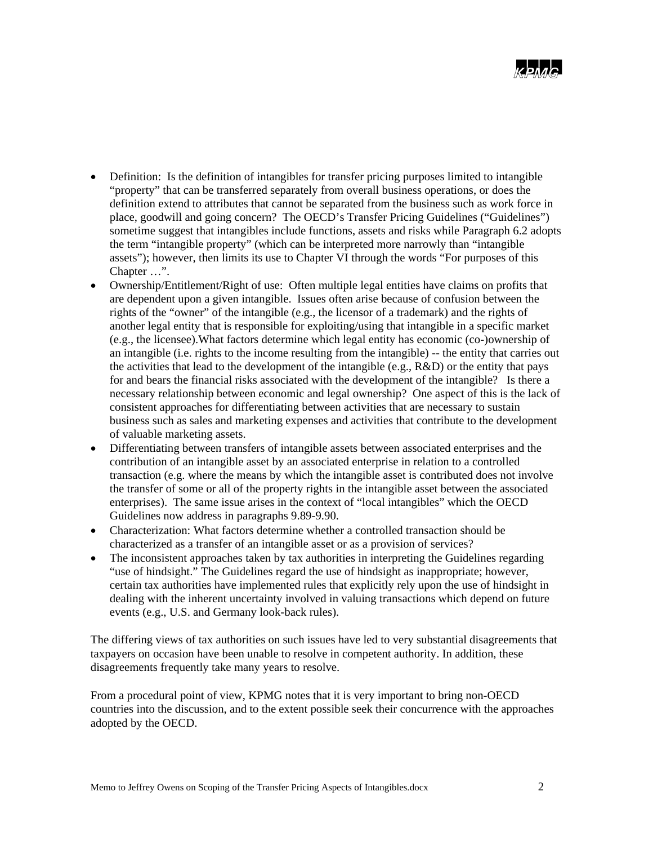- Definition: Is the definition of intangibles for transfer pricing purposes limited to intangible "property" that can be transferred separately from overall business operations, or does the definition extend to attributes that cannot be separated from the business such as work force in place, goodwill and going concern? The OECD's Transfer Pricing Guidelines ("Guidelines") sometime suggest that intangibles include functions, assets and risks while Paragraph 6.2 adopts the term "intangible property" (which can be interpreted more narrowly than "intangible assets"); however, then limits its use to Chapter VI through the words "For purposes of this Chapter …".
- Ownership/Entitlement/Right of use: Often multiple legal entities have claims on profits that are dependent upon a given intangible. Issues often arise because of confusion between the rights of the "owner" of the intangible (e.g., the licensor of a trademark) and the rights of another legal entity that is responsible for exploiting/using that intangible in a specific market (e.g., the licensee).What factors determine which legal entity has economic (co-)ownership of an intangible (i.e. rights to the income resulting from the intangible) -- the entity that carries out the activities that lead to the development of the intangible (e.g.,  $R&D$ ) or the entity that pays for and bears the financial risks associated with the development of the intangible? Is there a necessary relationship between economic and legal ownership? One aspect of this is the lack of consistent approaches for differentiating between activities that are necessary to sustain business such as sales and marketing expenses and activities that contribute to the development of valuable marketing assets.
- Differentiating between transfers of intangible assets between associated enterprises and the contribution of an intangible asset by an associated enterprise in relation to a controlled transaction (e.g. where the means by which the intangible asset is contributed does not involve the transfer of some or all of the property rights in the intangible asset between the associated enterprises). The same issue arises in the context of "local intangibles" which the OECD Guidelines now address in paragraphs 9.89-9.90.
- Characterization: What factors determine whether a controlled transaction should be characterized as a transfer of an intangible asset or as a provision of services?
- The inconsistent approaches taken by tax authorities in interpreting the Guidelines regarding "use of hindsight." The Guidelines regard the use of hindsight as inappropriate; however, certain tax authorities have implemented rules that explicitly rely upon the use of hindsight in dealing with the inherent uncertainty involved in valuing transactions which depend on future events (e.g., U.S. and Germany look-back rules).

The differing views of tax authorities on such issues have led to very substantial disagreements that taxpayers on occasion have been unable to resolve in competent authority. In addition, these disagreements frequently take many years to resolve.

From a procedural point of view, KPMG notes that it is very important to bring non-OECD countries into the discussion, and to the extent possible seek their concurrence with the approaches adopted by the OECD.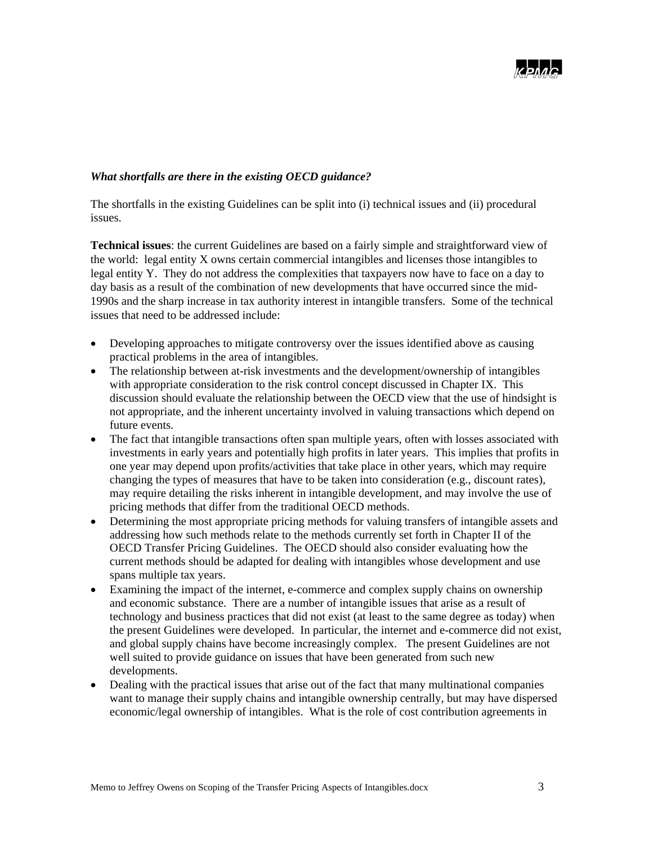

## *What shortfalls are there in the existing OECD guidance?*

The shortfalls in the existing Guidelines can be split into (i) technical issues and (ii) procedural issues.

**Technical issues**: the current Guidelines are based on a fairly simple and straightforward view of the world: legal entity X owns certain commercial intangibles and licenses those intangibles to legal entity Y. They do not address the complexities that taxpayers now have to face on a day to day basis as a result of the combination of new developments that have occurred since the mid-1990s and the sharp increase in tax authority interest in intangible transfers. Some of the technical issues that need to be addressed include:

- Developing approaches to mitigate controversy over the issues identified above as causing practical problems in the area of intangibles.
- The relationship between at-risk investments and the development/ownership of intangibles with appropriate consideration to the risk control concept discussed in Chapter IX. This discussion should evaluate the relationship between the OECD view that the use of hindsight is not appropriate, and the inherent uncertainty involved in valuing transactions which depend on future events.
- The fact that intangible transactions often span multiple years, often with losses associated with investments in early years and potentially high profits in later years. This implies that profits in one year may depend upon profits/activities that take place in other years, which may require changing the types of measures that have to be taken into consideration (e.g., discount rates), may require detailing the risks inherent in intangible development, and may involve the use of pricing methods that differ from the traditional OECD methods.
- Determining the most appropriate pricing methods for valuing transfers of intangible assets and addressing how such methods relate to the methods currently set forth in Chapter II of the OECD Transfer Pricing Guidelines. The OECD should also consider evaluating how the current methods should be adapted for dealing with intangibles whose development and use spans multiple tax years.
- Examining the impact of the internet, e-commerce and complex supply chains on ownership and economic substance. There are a number of intangible issues that arise as a result of technology and business practices that did not exist (at least to the same degree as today) when the present Guidelines were developed. In particular, the internet and e-commerce did not exist, and global supply chains have become increasingly complex. The present Guidelines are not well suited to provide guidance on issues that have been generated from such new developments.
- Dealing with the practical issues that arise out of the fact that many multinational companies want to manage their supply chains and intangible ownership centrally, but may have dispersed economic/legal ownership of intangibles. What is the role of cost contribution agreements in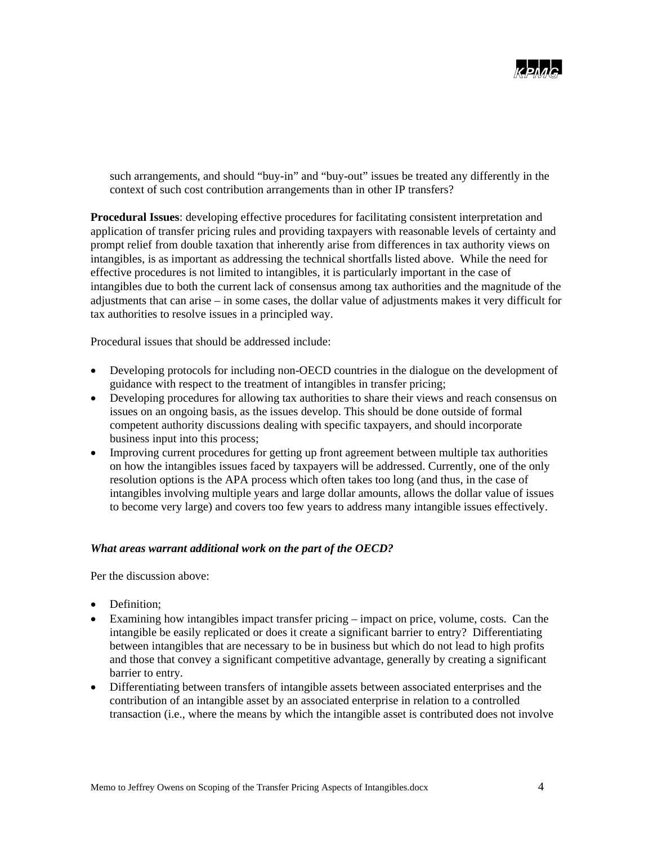

such arrangements, and should "buy-in" and "buy-out" issues be treated any differently in the context of such cost contribution arrangements than in other IP transfers?

**Procedural Issues**: developing effective procedures for facilitating consistent interpretation and application of transfer pricing rules and providing taxpayers with reasonable levels of certainty and prompt relief from double taxation that inherently arise from differences in tax authority views on intangibles, is as important as addressing the technical shortfalls listed above. While the need for effective procedures is not limited to intangibles, it is particularly important in the case of intangibles due to both the current lack of consensus among tax authorities and the magnitude of the adjustments that can arise – in some cases, the dollar value of adjustments makes it very difficult for tax authorities to resolve issues in a principled way.

Procedural issues that should be addressed include:

- Developing protocols for including non-OECD countries in the dialogue on the development of guidance with respect to the treatment of intangibles in transfer pricing;
- Developing procedures for allowing tax authorities to share their views and reach consensus on issues on an ongoing basis, as the issues develop. This should be done outside of formal competent authority discussions dealing with specific taxpayers, and should incorporate business input into this process;
- Improving current procedures for getting up front agreement between multiple tax authorities on how the intangibles issues faced by taxpayers will be addressed. Currently, one of the only resolution options is the APA process which often takes too long (and thus, in the case of intangibles involving multiple years and large dollar amounts, allows the dollar value of issues to become very large) and covers too few years to address many intangible issues effectively.

#### *What areas warrant additional work on the part of the OECD?*

Per the discussion above:

- Definition:
- Examining how intangibles impact transfer pricing impact on price, volume, costs. Can the intangible be easily replicated or does it create a significant barrier to entry? Differentiating between intangibles that are necessary to be in business but which do not lead to high profits and those that convey a significant competitive advantage, generally by creating a significant barrier to entry.
- Differentiating between transfers of intangible assets between associated enterprises and the contribution of an intangible asset by an associated enterprise in relation to a controlled transaction (i.e., where the means by which the intangible asset is contributed does not involve